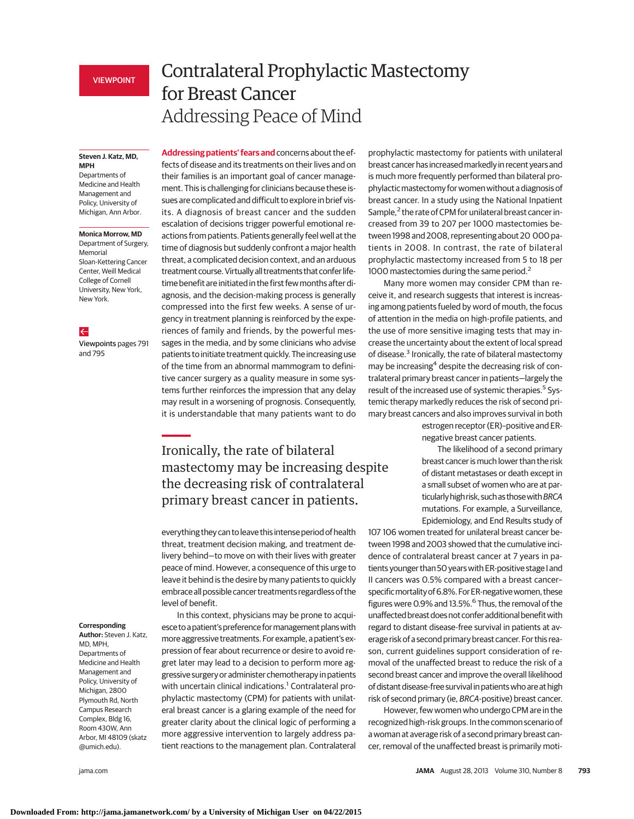**Steven J. Katz, MD, MPH**

Departments of Medicine and Health Management and Policy, University of Michigan, Ann Arbor.

#### **Monica Morrow, MD**

Department of Surgery, Memorial Sloan-Kettering Cancer Center, Weill Medical College of Cornell University, New York, New York.

### $\leftarrow$

Viewpoints pages 791 and 795

# Contralateral Prophylactic Mastectomy for Breast Cancer Addressing Peace of Mind

**Addressing patients' fears and** concerns about the effects of disease and its treatments on their lives and on their families is an important goal of cancer management. This is challenging for clinicians because these issues are complicated and difficult to explore in brief visits. A diagnosis of breast cancer and the sudden escalation of decisions trigger powerful emotional reactions from patients. Patients generally feel well at the time of diagnosis but suddenly confront a major health threat, a complicated decision context, and an arduous treatment course. Virtually all treatments that confer lifetime benefit are initiated in the first fewmonths after diagnosis, and the decision-making process is generally compressed into the first few weeks. A sense of urgency in treatment planning is reinforced by the experiences of family and friends, by the powerful messages in the media, and by some clinicians who advise patients to initiate treatment quickly. The increasing use of the time from an abnormal mammogram to definitive cancer surgery as a quality measure in some systems further reinforces the impression that any delay may result in a worsening of prognosis. Consequently, it is understandable that many patients want to do

## Ironically, the rate of bilateral mastectomy may be increasing despite the decreasing risk of contralateral primary breast cancer in patients.

everything they can to leave this intense period of health threat, treatment decision making, and treatment delivery behind—to move on with their lives with greater peace of mind. However, a consequence of this urge to leave it behind is the desire by many patients to quickly embrace all possible cancer treatments regardless of the level of benefit.

In this context, physicians may be prone to acquiesce toa patient's preference formanagement planswith more aggressive treatments. Forexample, a patient'sexpression of fear about recurrence or desire to avoid regret later may lead to a decision to perform more aggressive surgery or administer chemotherapy in patients with uncertain clinical indications.<sup>1</sup> Contralateral prophylactic mastectomy (CPM) for patients with unilateral breast cancer is a glaring example of the need for greater clarity about the clinical logic of performing a more aggressive intervention to largely address patient reactions to the management plan. Contralateral

**Corresponding**

**Author:** Steven J. Katz, MD, MPH, Departments of Medicine and Health Management and Policy, University of Michigan, 2800 Plymouth Rd, North Campus Research Complex, Bldg 16, Room 430W, Ann Arbor, MI 48109 (skatz @umich.edu).

prophylactic mastectomy for patients with unilateral breast cancer has increasedmarkedly in recent years and is much more frequently performed than bilateral prophylacticmastectomy for women without a diagnosis of breast cancer. In a study using the National Inpatient Sample,<sup>2</sup> the rate of CPM for unilateral breast cancer increased from 39 to 207 per 1000 mastectomies between 1998 and 2008, representing about 20 000 patients in 2008. In contrast, the rate of bilateral prophylactic mastectomy increased from 5 to 18 per 1000 mastectomies during the same period.<sup>2</sup>

Many more women may consider CPM than receive it, and research suggests that interest is increasing among patients fueled by word of mouth, the focus of attention in the media on high-profile patients, and the use of more sensitive imaging tests that may increase the uncertainty about the extent of local spread of disease.3 Ironically, the rate of bilateral mastectomy may be increasing<sup>4</sup> despite the decreasing risk of contralateral primary breast cancer in patients—largely the result of the increased use of systemic therapies.<sup>5</sup> Systemic therapy markedly reduces the risk of second primary breast cancers and also improves survival in both

estrogen receptor (ER)–positive and ERnegative breast cancer patients.

The likelihood of a second primary breast cancer is much lower than the risk of distant metastases or death except in a small subset of women who are at particularly high risk, such as those with BRCA mutations. For example, a Surveillance, Epidemiology, and End Results study of

107 106 women treated for unilateral breast cancer between 1998 and 2003 showed that the cumulative incidence of contralateral breast cancer at 7 years in patients younger than 50 years with ER-positive stage I and II cancers was 0.5% compared with a breast cancer– specific mortality of 6.8%. For ER-negative women, these figures were 0.9% and 13.5%. $^6$  Thus, the removal of the unaffected breast does not confer additional benefit with regard to distant disease-free survival in patients at average risk of a second primary breast cancer. For this reason, current guidelines support consideration of removal of the unaffected breast to reduce the risk of a second breast cancer and improve the overall likelihood of distant disease-free survival in patientswho are at high risk of second primary (ie, BRCA-positive) breast cancer.

However, few women who undergo CPM are in the recognized high-risk groups. In the common scenario of a woman at average risk of a second primary breast cancer, removal of the unaffected breast is primarily moti